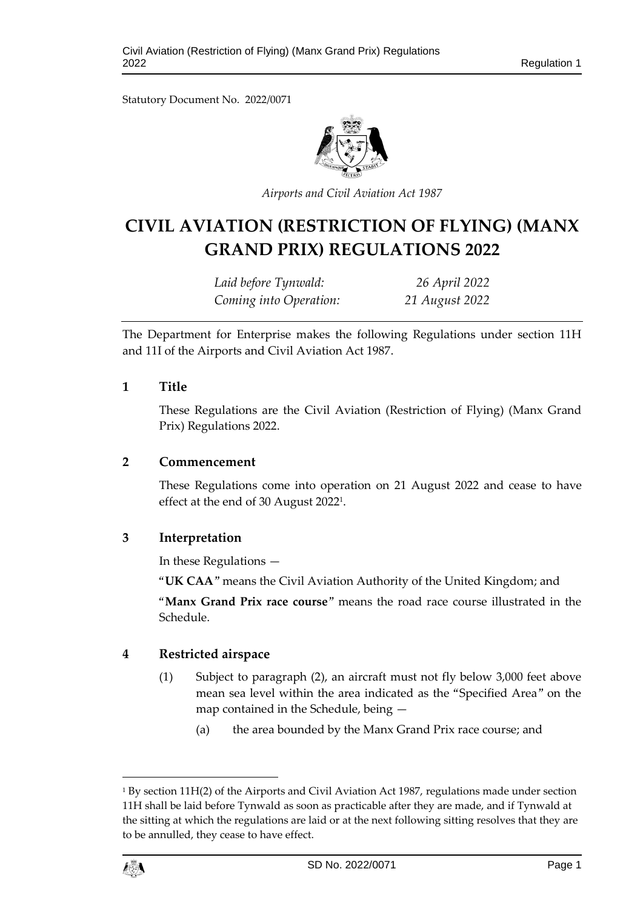Statutory Document No. 2022/0071



*Airports and Civil Aviation Act 1987*

# **CIVIL AVIATION (RESTRICTION OF FLYING) (MANX GRAND PRIX) REGULATIONS 2022**

*Laid before Tynwald: 26 April 2022 Coming into Operation: 21 August 2022*

The Department for Enterprise makes the following Regulations under section 11H and 11I of the Airports and Civil Aviation Act 1987.

#### **1 Title**

These Regulations are the Civil Aviation (Restriction of Flying) (Manx Grand Prix) Regulations 2022.

#### **2 Commencement**

These Regulations come into operation on 21 August 2022 and cease to have effect at the end of 30 August 2022<sup>1</sup> .

# **3 Interpretation**

In these Regulations —

"**UK CAA**" means the Civil Aviation Authority of the United Kingdom; and

"**Manx Grand Prix race course**" means the road race course illustrated in the Schedule.

# **4 Restricted airspace**

- (1) Subject to paragraph (2), an aircraft must not fly below 3,000 feet above mean sea level within the area indicated as the "Specified Area" on the map contained in the Schedule, being —
	- (a) the area bounded by the Manx Grand Prix race course; and

<sup>1</sup> By section 11H(2) of the Airports and Civil Aviation Act 1987, regulations made under section 11H shall be laid before Tynwald as soon as practicable after they are made, and if Tynwald at the sitting at which the regulations are laid or at the next following sitting resolves that they are to be annulled, they cease to have effect.



1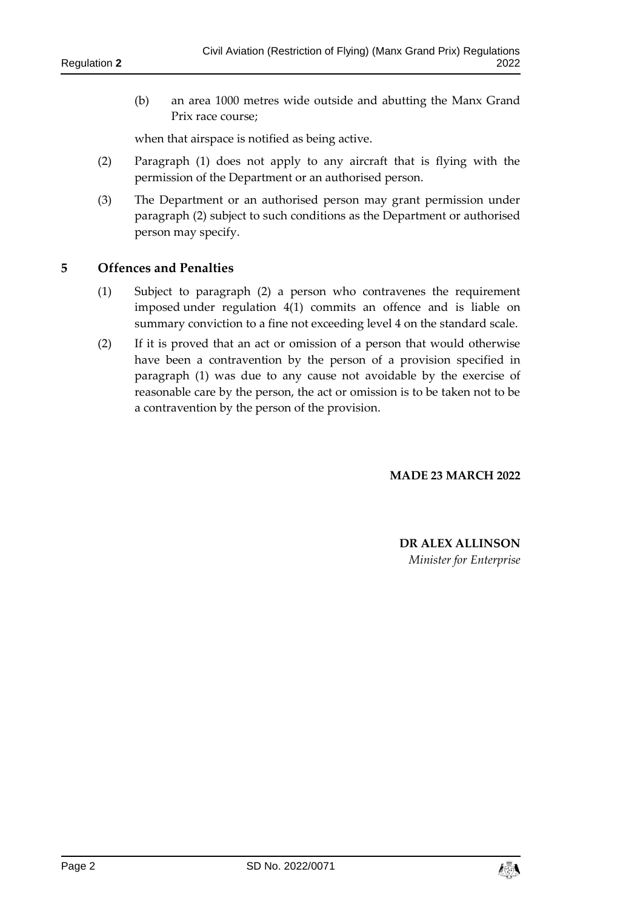(b) an area 1000 metres wide outside and abutting the Manx Grand Prix race course;

when that airspace is notified as being active.

- (2) Paragraph (1) does not apply to any aircraft that is flying with the permission of the Department or an authorised person.
- (3) The Department or an authorised person may grant permission under paragraph (2) subject to such conditions as the Department or authorised person may specify.

# **5 Offences and Penalties**

- (1) Subject to paragraph (2) a person who contravenes the requirement imposed under regulation 4(1) commits an offence and is liable on summary conviction to a fine not exceeding level 4 on the standard scale.
- (2) If it is proved that an act or omission of a person that would otherwise have been a contravention by the person of a provision specified in paragraph (1) was due to any cause not avoidable by the exercise of reasonable care by the person, the act or omission is to be taken not to be a contravention by the person of the provision.

**MADE 23 MARCH 2022**

**DR ALEX ALLINSON** *Minister for Enterprise*

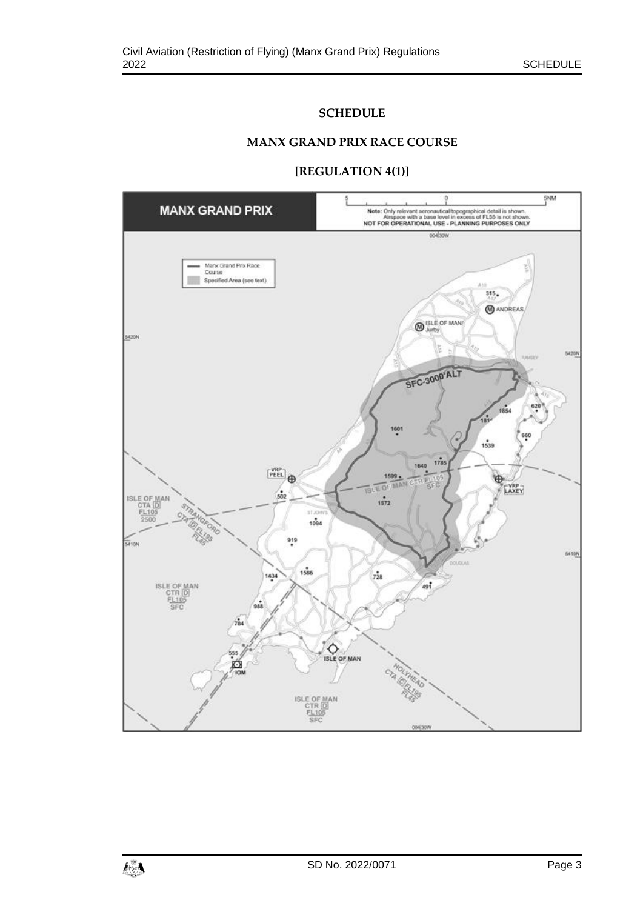# **SCHEDULE**

#### **MANX GRAND PRIX RACE COURSE**

#### **[REGULATION 4(1)]**